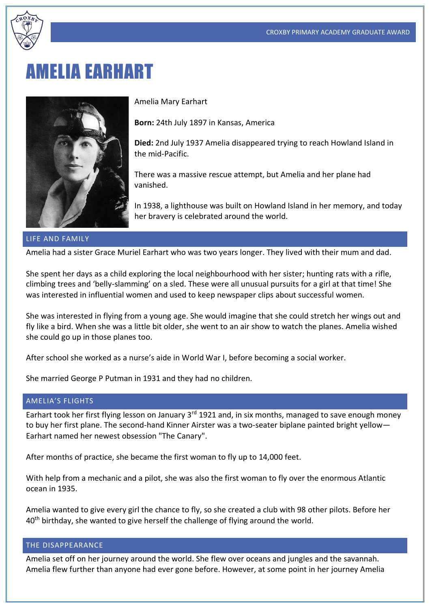

# **MELIA EARHART**



Amelia Mary Earhart

**Born:** 24th July 1897 in Kansas, America

**Died:** 2nd July 1937 Amelia disappeared trying to reach Howland Island in the mid-Pacific.

There was a massive rescue attempt, but Amelia and her plane had vanished.

In 1938, a lighthouse was built on Howland Island in her memory, and today her bravery is celebrated around the world.

#### LIFE AND FAMILY

Amelia had a sister Grace Muriel Earhart who was two years longer. They lived with their mum and dad.

She spent her days as a child exploring the local neighbourhood with her sister; hunting rats with a rifle, climbing trees and 'belly-slamming' on a sled. These were all unusual pursuits for a girl at that time! She was interested in influential women and used to keep newspaper clips about successful women.

She was interested in flying from a young age. She would imagine that she could stretch her wings out and fly like a bird. When she was a little bit older, she went to an air show to watch the planes. Amelia wished she could go up in those planes too.

After school she worked as a nurse's aide in World War I, before becoming a social worker.

She married George P Putman in 1931 and they had no children.

### AMELIA'S FLIGHTS

Earhart took her first flying lesson on January 3<sup>rd</sup> 1921 and, in six months, managed to save enough money to buy her first plane. The second-hand Kinner Airster was a two-seater biplane painted bright yellow— Earhart named her newest obsession "The Canary".

After months of practice, she became the first woman to fly up to 14,000 feet.

With help from a mechanic and a pilot, she was also the first woman to fly over the enormous Atlantic ocean in 1935.

Amelia wanted to give every girl the chance to fly, so she created a club with 98 other pilots. Before her 40<sup>th</sup> birthday, she wanted to give herself the challenge of flying around the world.

## THE DISAPPEARANCE

Amelia set off on her journey around the world. She flew over oceans and jungles and the savannah. Amelia flew further than anyone had ever gone before. However, at some point in her journey Amelia